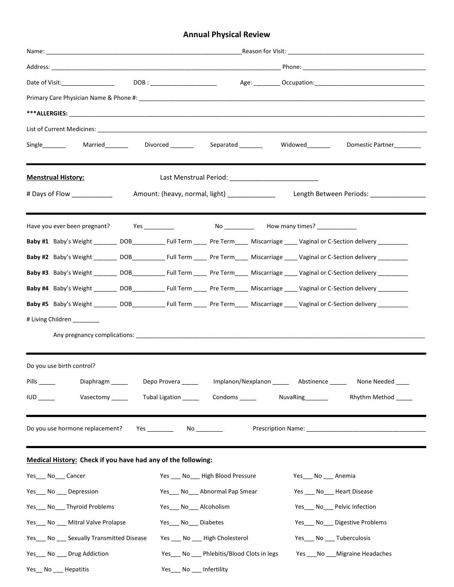**Annual Physical Review** 

| Single________<br>Married________                                                                                                                      | Divorced ________ Separated _______ Widowed_______                                          |                            | Domestic Partner________                                                                                       |  |
|--------------------------------------------------------------------------------------------------------------------------------------------------------|---------------------------------------------------------------------------------------------|----------------------------|----------------------------------------------------------------------------------------------------------------|--|
| <b>Menstrual History:</b>                                                                                                                              |                                                                                             |                            |                                                                                                                |  |
| # Days of Flow ___________                                                                                                                             | Amount: (heavy, normal, light) _____________                                                |                            | Length Between Periods: [1982] [1982] [1982] [1982] [1982] [1982] [1982] [1982] [1982] [1982] [1982] [1982] [1 |  |
| Have you ever been pregnant? Yes ________                                                                                                              |                                                                                             |                            |                                                                                                                |  |
| Baby #1 Baby's Weight _______ DOB____________ Full Term _____ Pre Term_____ Miscarriage ____ Vaginal or C-Section delivery _________                   |                                                                                             |                            |                                                                                                                |  |
| Baby #2 Baby's Weight __________ DOB___________________ Full Term _______ Pre Term_______ Miscarriage _____ Vaginal or C-Section delivery ____________ |                                                                                             |                            |                                                                                                                |  |
| Baby #3 Baby's Weight _______ DOB____________ Full Term _____ Pre Term_____ Miscarriage ____ Vaginal or C-Section delivery __________                  |                                                                                             |                            |                                                                                                                |  |
| Baby #4 Baby's Weight _______ DOB____________ Full Term _____ Pre Term_____ Miscarriage ____ Vaginal or C-Section delivery __________                  |                                                                                             |                            |                                                                                                                |  |
| Baby #5 Baby's Weight _______ DOB___________ Full Term _____ Pre Term____ Miscarriage ____ Vaginal or C-Section delivery _________                     |                                                                                             |                            |                                                                                                                |  |
| # Living Children ________<br>Any pregnancy complications: <b>Example 2</b> and the set of the set of the set of the set of the set of the set of the  |                                                                                             |                            |                                                                                                                |  |
| Do you use birth control?                                                                                                                              |                                                                                             |                            |                                                                                                                |  |
| <b>Pills</b><br>Diaphragm ______                                                                                                                       | Depo Provera _________ Implanon/Nexplanon _________ Abstinence __________ None Needed _____ |                            |                                                                                                                |  |
| Vasectomy ______<br>$IUD$ <sub>---</sub>                                                                                                               | Tubal Ligation ______________Condoms _______                                                | NuvaRing <b>NuvaRing</b>   | Rhythm Method _____                                                                                            |  |
| Do you use hormone replacement?                                                                                                                        | No ________                                                                                 |                            |                                                                                                                |  |
| Medical History: Check if you have had any of the following:                                                                                           |                                                                                             |                            |                                                                                                                |  |
| Yes___ No___ Cancer                                                                                                                                    | Yes ___ No___ High Blood Pressure                                                           | Yes____ No ____ Anemia     |                                                                                                                |  |
| Yes___ No ___ Depression                                                                                                                               | Yes_ No_ Abnormal Pap Smear                                                                 |                            | Yes ____ No____ Heart Disease                                                                                  |  |
| Yes___ No___ Thyroid Problems                                                                                                                          | Yes___ No___ Alcoholism                                                                     |                            | Yes___ No___ Pelvic Infection                                                                                  |  |
| Yes__ No __ Mitral Valve Prolapse                                                                                                                      | Yes___ No___ Diabetes                                                                       |                            | Yes __ No __ Digestive Problems                                                                                |  |
| Yes___ No ___ Sexually Transmitted Disease                                                                                                             | Yes ___ No ___ High Cholesterol                                                             | Yes___ No ___ Tuberculosis |                                                                                                                |  |
| Yes___ No ___ Drug Addiction                                                                                                                           | Yes No Phlebitis/Blood Clots in legs                                                        |                            | Yes ___ No ___ Migraine Headaches                                                                              |  |
| Yes_ No __ Hepatitis                                                                                                                                   | Yes___ No ___ Infertility                                                                   |                            |                                                                                                                |  |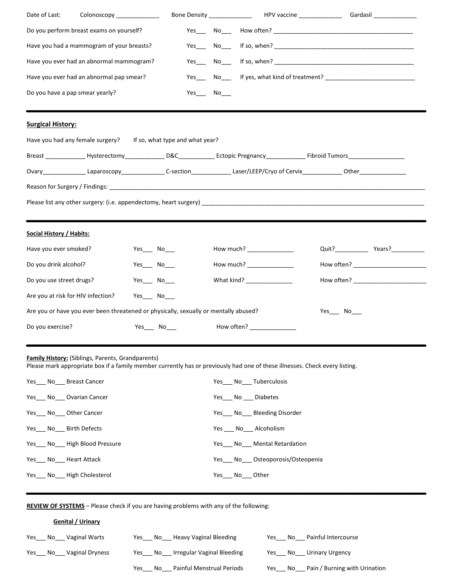| Date of Last:                      | Colonoscopy                                                                                                                             |                                 |     |                      | Bone Density ________________________HPV vaccine ________________________________ |               |  |
|------------------------------------|-----------------------------------------------------------------------------------------------------------------------------------------|---------------------------------|-----|----------------------|-----------------------------------------------------------------------------------|---------------|--|
|                                    | Do you perform breast exams on yourself?                                                                                                |                                 | Yes |                      |                                                                                   |               |  |
|                                    | Have you had a mammogram of your breasts?                                                                                               |                                 | Yes |                      |                                                                                   |               |  |
|                                    | Have you ever had an abnormal mammogram?                                                                                                |                                 | Yes | $No$ <sub>____</sub> |                                                                                   |               |  |
|                                    | Have you ever had an abnormal pap smear?                                                                                                |                                 | Yes | No                   |                                                                                   |               |  |
| Do you have a pap smear yearly?    |                                                                                                                                         |                                 | Yes | No                   |                                                                                   |               |  |
| <b>Surgical History:</b>           |                                                                                                                                         |                                 |     |                      |                                                                                   |               |  |
|                                    | Have you had any female surgery?                                                                                                        | If so, what type and what year? |     |                      |                                                                                   |               |  |
|                                    | Breast _____________Hysterectomy________________D&C________________Ectopic Pregnancy_______________Fibroid Tumors______________________ |                                 |     |                      |                                                                                   |               |  |
|                                    |                                                                                                                                         |                                 |     |                      |                                                                                   |               |  |
|                                    |                                                                                                                                         |                                 |     |                      |                                                                                   |               |  |
|                                    |                                                                                                                                         |                                 |     |                      |                                                                                   |               |  |
| Social History / Habits:           |                                                                                                                                         |                                 |     |                      |                                                                                   |               |  |
| Have you ever smoked?              |                                                                                                                                         | Yes___ No___                    |     |                      | How much? ________________                                                        |               |  |
| Do you drink alcohol?              |                                                                                                                                         | Yes No                          |     |                      |                                                                                   |               |  |
| Do you use street drugs?           |                                                                                                                                         | Yes____ No____                  |     |                      | What kind? _______________                                                        |               |  |
| Are you at risk for HIV infection? |                                                                                                                                         | Yes No                          |     |                      |                                                                                   |               |  |
|                                    | Are you or have you ever been threatened or physically, sexually or mentally abused?                                                    |                                 |     |                      |                                                                                   | $Yes$ No_____ |  |
| Do you exercise?                   |                                                                                                                                         | $Yes$ No______                  |     |                      | How often? <u>________________</u>                                                |               |  |
|                                    |                                                                                                                                         |                                 |     |                      |                                                                                   |               |  |

## **Family History:** (Siblings, Parents, Grandparents)

Please mark appropriate box if a family member currently has or previously had one of these illnesses. Check every listing.

|                              | Yes No Breast Cancer       |              | Yes No Tuberculosis            |
|------------------------------|----------------------------|--------------|--------------------------------|
|                              | Yes No Ovarian Cancer      |              | Yes No Diabetes                |
| Yes No Other Cancer          |                            |              | Yes __ No __ Bleeding Disorder |
| Yes ___ No ___ Birth Defects |                            |              | Yes No Alcoholism              |
|                              | Yes No High Blood Pressure |              | Yes No Mental Retardation      |
| Yes No Heart Attack          |                            |              | Yes No Osteoporosis/Osteopenia |
|                              | Yes No High Cholesterol    | Yes No Other |                                |

## **REVIEW OF SYSTEMS** – Please check if you are having problems with any of the following:

## **Genital / Urinary**

| Yes             | <b>Heavy Vaginal Bleeding</b>           | Painful Intercourse                         |
|-----------------|-----------------------------------------|---------------------------------------------|
| Vaginal Warts   | No.                                     | No                                          |
| No              | Yes                                     | Yes                                         |
| Yes             | Irregular Vaginal Bleeding              | Urinary Urgency                             |
| Vaginal Dryness | No.                                     | No.                                         |
| No              | Yes                                     | Yes                                         |
|                 | Painful Menstrual Periods<br>Yes.<br>No | Pain / Burning with Urination<br>Yes<br>No. |